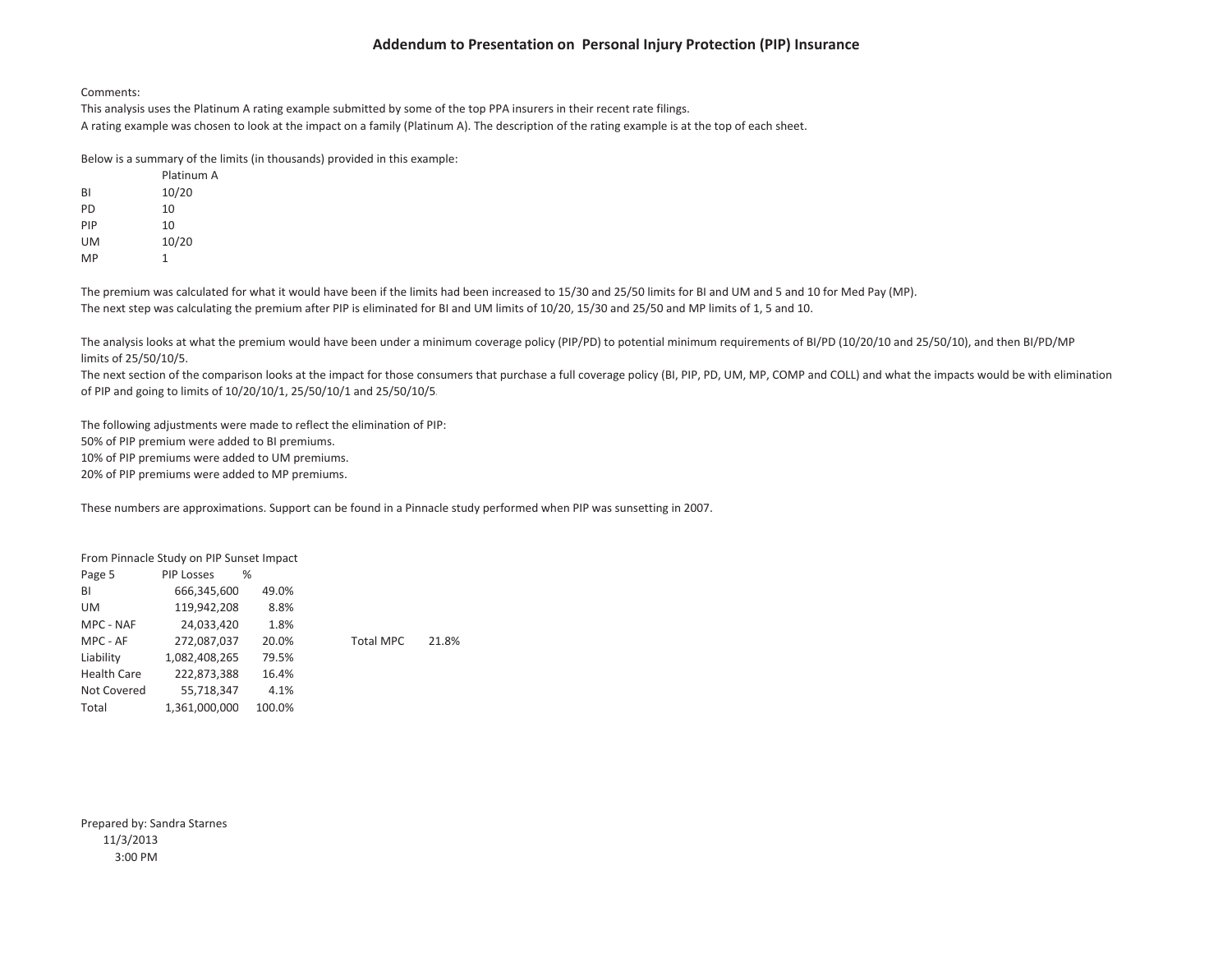#### Comments:

This analysis uses the Platinum A rating example submitted by some of the top PPA insurers in their recent rate filings. A rating example was chosen to look at the impact on <sup>a</sup> family (Platinum A). The description of the rating example is at the top of each sheet.

Below is <sup>a</sup> summary of the limits (in thousands) provided in this example:

|           | Platinum A |
|-----------|------------|
| <b>BI</b> | 10/20      |
| PD        | 10         |
| PIP       | 10         |
| UM        | 10/20      |
| MP        | 1          |

The premium was calculated for what it would have been if the limits had been increased to 15/30 and 25/50 limits for BI and UM and 5 and 10 for Med Pay (MP). The next step was calculating the premium after PIP is eliminated for BI and UM limits of 10/20, 15/30 and 25/50 and MP limits of 1, 5 and 10.

The analysis looks at what the premium would have been under a minimum coverage policy (PIP/PD) to potential minimum requirements of BI/PD (10/20/10 and 25/50/10), and then BI/PD/MP limits of 25/50/10/5.

The next section of the comparison looks at the impact for those consumers that purchase <sup>a</sup> full coverage policy (BI, PIP, PD, UM, MP, COMP and COLL) and what the impacts would be with elimination of PIP and going to limits of 10/20/10/1, 25/50/10/1 and 25/50/10/5.

The following adjustments were made to reflect the elimination of PIP: 50% of PIP premium were added to BI premiums. 10% of PIP premiums were added to UM premiums. 20% of PIP premiums were added to MP premiums.

These numbers are approximations. Support can be found in <sup>a</sup> Pinnacle study performed when PIP was sunsetting in 2007.

|                    | From Pinnacle Study on PIP Sunset Impact |        |                  |       |
|--------------------|------------------------------------------|--------|------------------|-------|
| Page 5             | <b>PIP Losses</b>                        | ℅      |                  |       |
| BI                 | 666,345,600                              | 49.0%  |                  |       |
| UM                 | 119,942,208                              | 8.8%   |                  |       |
| MPC - NAF          | 24,033,420                               | 1.8%   |                  |       |
| MPC - AF           | 272,087,037                              | 20.0%  | <b>Total MPC</b> | 21.8% |
| Liability          | 1,082,408,265                            | 79.5%  |                  |       |
| <b>Health Care</b> | 222,873,388                              | 16.4%  |                  |       |
| Not Covered        | 55,718,347                               | 4.1%   |                  |       |
| Total              | 1.361.000.000                            | 100.0% |                  |       |

Prepared by: Sandra Starnes 11/3/2013 3:00 PM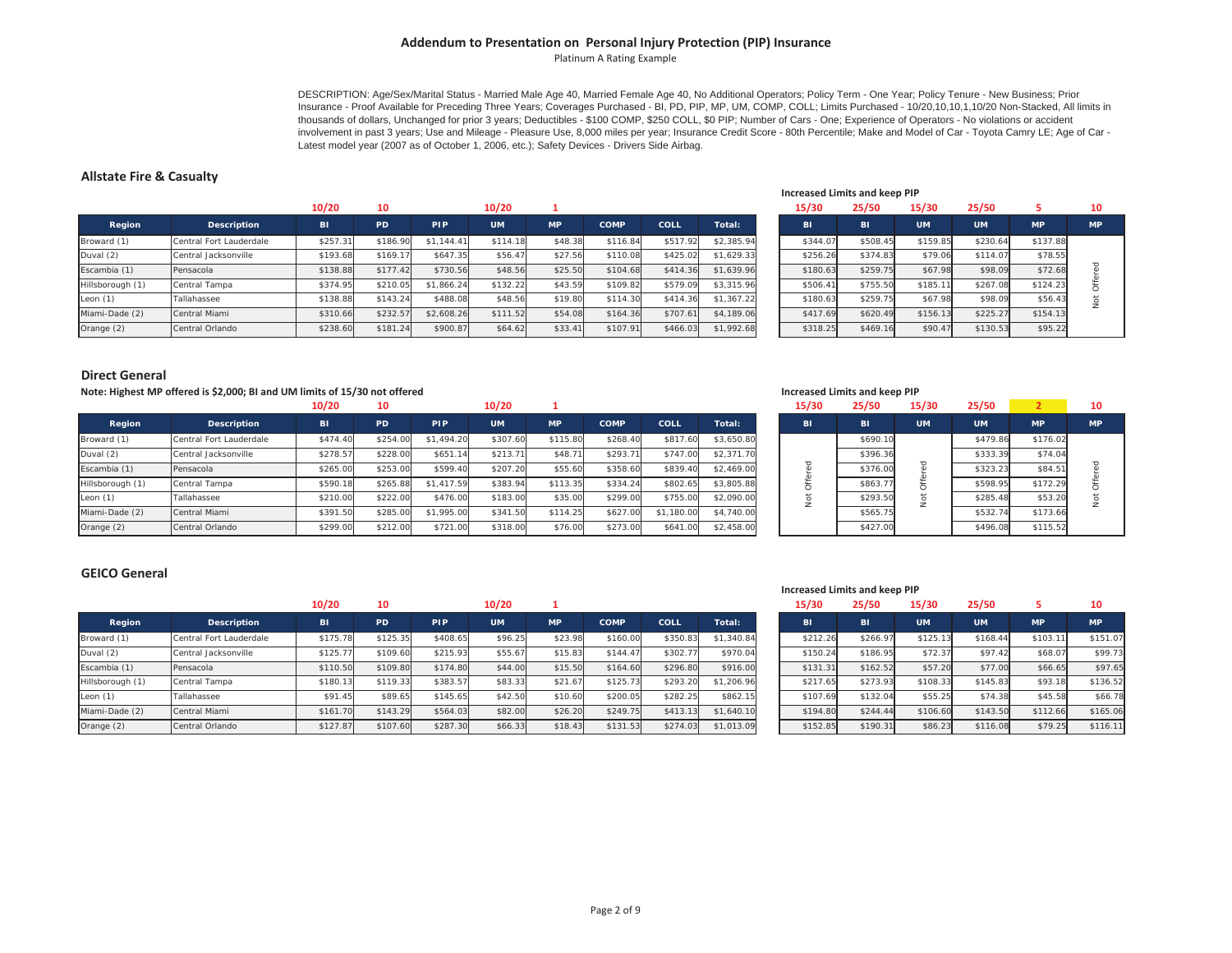Platinum A Rating Example

DESCRIPTION: Age/Sex/Marital Status - Married Male Age 40, Married Female Age 40, No Additional Operators; Policy Term - One Year; Policy Tenure - New Business; Prior Insurance - Proof Available for Preceding Three Years; Coverages Purchased - BI, PD, PIP, MP, UM, COMP, COLL; Limits Purchased - 10/20,10,10,1,10/20 Non-Stacked, All limits in thousands of dollars, Unchanged for prior 3 years; Deductibles - \$100 COMP, \$250 COLL, \$0 PIP; Number of Cars - One; Experience of Operators - No violations or accident involvement in past 3 years; Use and Mileage - Pleasure Use, 8,000 miles per year; Insurance Credit Score - 80th Percentile; Make and Model of Car - Toyota Camry LE; Age of Car -Latest model year (2007 as of October 1, 2006, etc.); Safety Devices - Drivers Side Airbag.

#### **Allstate Fire & Casualty**

|                  |                         | 10/20     | 10       |            | 10/20     |           |             |          |            | 15/30    | 25/50    | 15/30     | 25/50     |           | 10        |
|------------------|-------------------------|-----------|----------|------------|-----------|-----------|-------------|----------|------------|----------|----------|-----------|-----------|-----------|-----------|
| Region           | Description             | <b>BI</b> | PD       | <b>PIP</b> | <b>UM</b> | <b>MP</b> | <b>COMP</b> | COLL     | Total:     | BI       | BI       | <b>UM</b> | <b>UM</b> | <b>MP</b> | <b>MP</b> |
| Broward (1)      | Central Fort Lauderdale | \$257.31  | \$186.90 | \$1,144.41 | \$114.18  | \$48.38   | \$116.84    | \$517.92 | \$2.385.94 | \$344.07 | \$508.45 | \$159.85  | \$230.64  | \$137.88  |           |
| Duval (2)        | Central Jacksonville    | \$193.68  | \$169.1  | \$647.35   | \$56.47   | \$27.56   | \$110.08    | \$425.02 | \$1.629.33 | \$256.26 | \$374.83 | \$79.06   | \$114.07  | \$78.55   |           |
| Escambia (1)     | Pensacola               | \$138.88  | \$177.42 | \$730.56   | \$48.56   | \$25.50   | \$104.68    | \$414.36 | \$1.639.96 | \$180.63 | \$259.75 | \$67.98   | \$98.09   | \$72.68   |           |
| Hillsborough (1) | Central Tampa           | \$374.95  | \$210.05 | \$1,866.24 | \$132.22  | \$43.59   | \$109.82    | \$579.09 | \$3,315.96 | \$506.41 | \$755.50 | \$185.11  | \$267.08  | \$124.23  |           |
| Leon $(1)$       | Tallahassee             | \$138.88  | \$143.24 | \$488.08   | \$48.56   | \$19.80   | \$114.30    | \$414.36 | \$1,367.22 | \$180.63 | \$259.75 | \$67.98   | \$98.09   | \$56.43   |           |
| Miami-Dade (2)   | Central Miami           | \$310.66  | \$232.5  | \$2,608.26 | \$111.52  | \$54.08   | \$164.36    | \$707.61 | \$4,189.06 | \$417.69 | \$620.49 | \$156.1   | \$225.27  | \$154.13  |           |
| Orange (2)       | Central Orlando         | \$238.60  | \$181.24 | \$900.87   | \$64.62   | \$33.41   | \$107.91    | \$466.03 | \$1,992.68 | \$318.25 | \$469.16 | \$90.47   | \$130.53  | \$95.22   |           |

#### **Increased Limits and keep PIP**

| 15/30    | 25/50    | 15/30     | 25/50     | 5         | 10        |
|----------|----------|-----------|-----------|-----------|-----------|
| BI       | BI       | <b>UM</b> | <b>UM</b> | <b>MP</b> | <b>MP</b> |
| \$344.07 | \$508.45 | \$159.85  | \$230.64  | \$137.88  |           |
| \$256.26 | \$374.83 | \$79.06   | \$114.07  | \$78.55   |           |
| \$180.63 | \$259.75 | \$67.98   | \$98.09   | \$72.68   | Offered   |
| \$506.41 | \$755.50 | \$185.11  | \$267.08  | \$124.23  |           |
| \$180.63 | \$259.75 | \$67.98   | \$98.09   | \$56.43   | Not       |
| \$417.69 | \$620.49 | \$156.13  | \$225.27  | \$154.13  |           |
| \$318.25 | \$469.16 | \$90.47   | \$130.53  | \$95.22   |           |

#### **Direct General**

#### Note: Highest MP offered is \$2,000; BI and UM limits of 15/30 not offered National Community of the UNIX of the Ma

|                  |                         | 10/20     | 10        |            | 10/20     |           |             |            |            | 15/30     | 25/50     | 15/30     | 25/50     |           | 10        |
|------------------|-------------------------|-----------|-----------|------------|-----------|-----------|-------------|------------|------------|-----------|-----------|-----------|-----------|-----------|-----------|
| Region           | Description             | <b>BI</b> | <b>PD</b> | <b>PIP</b> | <b>UM</b> | <b>MP</b> | <b>COMP</b> | COLL       | Total:     | <b>BI</b> | <b>BI</b> | <b>UM</b> | <b>UM</b> | <b>MP</b> | <b>MP</b> |
| Broward (1)      | Central Fort Lauderdale | \$474.40  | \$254.00  | \$1,494.20 | \$307.60  | \$115.80  | \$268.40    | \$817.60   | \$3,650.80 |           | \$690.10  |           | \$479.86  | \$176.02  |           |
| Duval (2)        | Central Jacksonville    | \$278.57  | \$228.00  | \$651      | \$213.71  | \$48.7    | \$293.71    | \$747.00   | \$2,371.70 |           | \$396.36  |           | \$333.39  | \$74.04   |           |
| Escambia (1)     | Pensacola               | \$265.00  | \$253.00  | \$599.40   | \$207.20  | \$55.60   | \$358.60    | \$839.40   | \$2,469.00 |           | \$376.00  |           | \$323.23  | \$84.51   |           |
| Hillsborough (1) | Central Tampa           | \$590.18  | \$265.88  | \$1,417.59 | \$383.94  | \$113.35  | \$334.24    | \$802.65   | \$3,805.88 |           | \$863.7   |           | \$598.95  | \$172.29  |           |
| Leon $(1)$       | Tallahassee             | \$210.00  | \$222.00  | \$476.00   | \$183.00  | \$35.00   | \$299.00    | \$755.00   | \$2,090.00 |           | \$293.50  |           | \$285.48  | \$53.20   |           |
| Miami-Dade (2)   | Central Miami           | \$391.50  | \$285.0   | \$1,995.00 | \$341.50  | \$114.25  | \$627.00    | \$1,180.00 | \$4,740.00 |           | \$565.75  |           | \$532.74  | \$173.66  |           |
| Orange (2)       | Central Orlando         | \$299.00  | \$212.00  | \$721.00   | \$318.00  | \$76.00   | \$273.00    | \$641.00   | \$2,458.00 |           | \$427.00  |           | \$496.08  | \$115.52  |           |

|             | \$72.68        | \$98.09   | \$67.98     | \$259.75                             | \$180.63    |
|-------------|----------------|-----------|-------------|--------------------------------------|-------------|
| Not Offered | \$124.23       | \$267.08  | \$185.11    | \$755.50                             | \$506.41    |
|             | \$56.43        | \$98.09   | \$67.98     | \$259.75                             | \$180.63    |
|             | \$154.13       | \$225.27  | \$156.13    | \$620.49                             | \$417.69    |
|             | \$95.22        | \$130.53  | \$90.47     | \$469.16                             | \$318.25    |
|             |                |           |             |                                      |             |
|             |                |           |             |                                      |             |
|             |                |           |             |                                      |             |
|             |                |           |             | <b>Increased Limits and keep PIP</b> |             |
| 10          | $\overline{2}$ | 25/50     | 15/30       | 25/50                                | 15/30       |
| <b>MP</b>   | <b>MP</b>      | <b>UM</b> | <b>UM</b>   | BI                                   | BI          |
|             | \$176.02       | \$479.86  |             | \$690.10                             |             |
|             | \$74.04        | \$333.39  |             | \$396.36                             |             |
|             | \$84.51        | \$323.23  |             | \$376.00                             |             |
|             | \$172.29       | \$598.95  |             | \$863.77                             |             |
|             | \$53.20        | \$285.48  |             | \$293.50                             |             |
| Not Offered | \$173.66       | \$532.74  | Not Offered | \$565.75                             | Not Offered |

#### **GEICO General**

|                  |                         | 10/20     | 10       |            | 10/20     |           |             |             |            | 15/30    | 25/50     | 15/30     | 25/50     |           |          |
|------------------|-------------------------|-----------|----------|------------|-----------|-----------|-------------|-------------|------------|----------|-----------|-----------|-----------|-----------|----------|
| Region           | Description             | <b>BI</b> | PD       | <b>PIP</b> | <b>UM</b> | <b>MP</b> | <b>COMP</b> | <b>COLL</b> | Total:     | BI       | <b>BI</b> | <b>UM</b> | <b>UM</b> | <b>MP</b> | MP       |
| Broward (1)      | Central Fort Lauderdale | \$175.78  | \$125.35 | \$408.65   | \$96.25   | \$23.98   | \$160.00    | \$350.8     | \$1,340.84 | \$212.26 | \$266.9   | \$125.1   | \$168.44  | \$103.11  | \$151.07 |
| Duval (2)        | Central Jacksonville    | \$125.77  | \$109.60 | \$215.93   | \$55.67   | \$15.83   | \$144.4     | \$302.7     | \$970.04   | \$150.24 | \$186.95  | \$72.37   | \$97.42   | \$68.07   | \$99.73  |
| Escambia (1)     | Pensacola               | \$110.50  | \$109.80 | \$174.80   | \$44.00   | \$15.50   | \$164.60    | \$296.80    | \$916.00   | \$131.31 | \$162.52  | \$57.20   | \$77.00   | \$66.65   | \$97.65  |
| Hillsborough (1) | Central Tampa           | \$180.1   | \$119.33 | \$383.57   | \$83.33   | \$21.6    | \$125.7     | \$293.20    | \$1.206.96 | \$217.6  | \$273.93  | \$108.33  | \$145.83  | \$93.18   | \$136.52 |
| Leon $(1)$       | Tallahassee             | \$91.45   | \$89.65  | \$145.65   | \$42.50   | \$10.60   | \$200.0     | \$282.25    | \$862.15   | \$107.69 | \$132.0   | \$55.25   | \$74.38   | \$45.58   | \$66.78  |
| Miami-Dade (2)   | Central Miami           | \$161.70  | \$143.29 | \$564.03   | \$82.00   | \$26.20   | \$249.75    | \$413.      | \$1,640.10 | \$194.80 | \$244.44  | \$106.60  | \$143.50  | \$112.66  | \$165.06 |
| Orange (2)       | Central Orlando         | \$127.87  | \$107.60 | \$287.30   | \$66.33   | \$18.43   | \$131.53    | \$274.0     | \$1.013.09 | \$152.8  | \$190.3   | \$86.23   | \$116.08  | \$79.25   | \$116.11 |

#### **Increased Limits and keep PIP**

| 15/30    | 25/50    | 15/30     | 25/50     | 5         | 10        |
|----------|----------|-----------|-----------|-----------|-----------|
| BI       | BI       | <b>UM</b> | <b>UM</b> | <b>MP</b> | <b>MP</b> |
| \$212.26 | \$266.97 | \$125.13  | \$168.44  | \$103.11  | \$151.07  |
| \$150.24 | \$186.95 | \$72.37   | \$97.42   | \$68.07   | \$99.73   |
| \$131.31 | \$162.52 | \$57.20   | \$77.00   | \$66.65   | \$97.65   |
| \$217.65 | \$273.93 | \$108.33  | \$145.83  | \$93.18   | \$136.52  |
| \$107.69 | \$132.04 | \$55.25   | \$74.38   | \$45.58   | \$66.78   |
| \$194.80 | \$244.44 | \$106.60  | \$143.50  | \$112.66  | \$165.06  |
| \$152.85 | \$190.31 | \$86.23   | \$116.08  | \$79.25   | \$116.11  |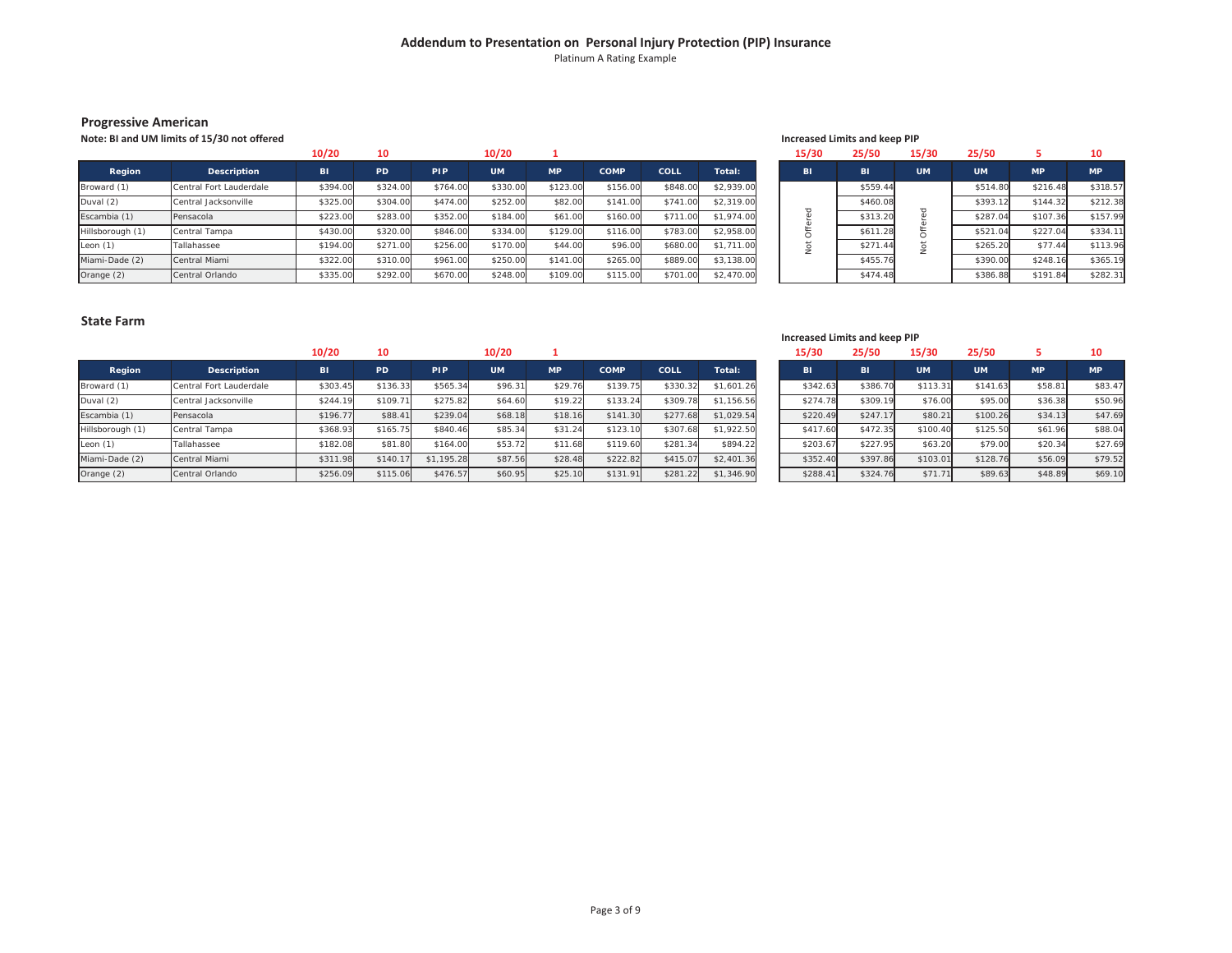Platinum A Rating Example

#### **Progressive American**

**Note: BI and UM**

|                  |                         | 10/20     |          |            | 10/20     |           |             |             |            | 15/30 | 25/50    | 15/30     | 25/50           |           |           |
|------------------|-------------------------|-----------|----------|------------|-----------|-----------|-------------|-------------|------------|-------|----------|-----------|-----------------|-----------|-----------|
| Region           | <b>Description</b>      | <b>BI</b> | PD       | <b>PIP</b> | <b>UM</b> | <b>MP</b> | <b>COMP</b> | <b>COLL</b> | Total:     | BI    | BI       | <b>UM</b> | UM <sup>1</sup> | <b>MP</b> | <b>MP</b> |
| Broward (1)      | Central Fort Lauderdale | \$394.00  | \$324.00 | \$764.00   | \$330.00  | \$123.00  | \$156.00    | \$848.00    | \$2,939.00 |       | \$559.44 |           | \$514.80        | \$216.48  | \$318.57  |
| Duval (2)        | Central Jacksonville    | \$325.00  | \$304.00 | \$474.00   | \$252.00  | \$82.00   | \$141.00    | \$741.00    | \$2,319.00 |       | \$460.08 |           | \$393.12        | \$144.32  | \$212.38  |
| Escambia (1)     | Pensacola               | \$223.00  | \$283.00 | \$352.00   | \$184.00  | \$61.00   | \$160.00    | \$711.00    | \$1,974.00 |       | \$313.20 |           | \$287.04        | \$107.36  | \$157.99  |
| Hillsborough (1) | Central Tampa           | \$430.00  | \$320.00 | \$846.00   | \$334.00  | \$129.00  | \$116.00    | \$783.00    | \$2,958.00 | -     | \$611.28 |           | \$521.04        | \$227.04  | \$334.11  |
| Leon $(1)$       | Tallahassee             | \$194.00  | \$271.00 | \$256.00   | \$170.00  | \$44.00   | \$96.00     | \$680.00    | \$1,711.00 |       | \$271.44 |           | \$265.20        | \$77.44   | \$113.96  |
| Miami-Dade (2)   | Central Miami           | \$322.00  | \$310.00 | \$961.00   | \$250.00  | \$141.00  | \$265.00    | \$889.00    | \$3,138.00 |       | \$455.76 |           | \$390.00        | \$248.16  | \$365.19  |
| Orange (2)       | Central Orlando         | \$335.00  | \$292.00 | \$670.00   | \$248.00  | \$109.00  | \$115.00    | \$701.0     | \$2,470.00 |       | \$474.48 |           | \$386.88        | \$191.84  | \$282.31  |

#### **limits of 15/30 not offered Increased Limits and keep PIP**

| 15/30   | 25/50           |         | 25/50     | 5         | 10        |
|---------|-----------------|---------|-----------|-----------|-----------|
| BI      | BI<br><b>UM</b> |         | <b>UM</b> | <b>MP</b> | <b>MP</b> |
|         | \$559.44        |         | \$514.80  | \$216.48  | \$318.57  |
|         | \$460.08        |         | \$393.12  | \$144.32  | \$212.38  |
| Offered | \$313.20        | Offered | \$287.04  | \$107.36  | \$157.99  |
|         | \$611.28        |         | \$521.04  | \$227.04  | \$334.11  |
| Not     | \$271.44        | ğ       | \$265.20  | \$77.44   | \$113.96  |
|         | \$455.76        |         | \$390.00  | \$248.16  | \$365.19  |
|         | \$474.48        |         | \$386.88  | \$191.84  | \$282.31  |

#### **State Farm**

|                  |                         | 10/20     | 10       |            | 10/20     |           |             |          |            | 15/30     | 25/50     | 15/30     | 25/50     |           | 10        |
|------------------|-------------------------|-----------|----------|------------|-----------|-----------|-------------|----------|------------|-----------|-----------|-----------|-----------|-----------|-----------|
| Region           | <b>Description</b>      | <b>BI</b> | PD       | <b>PIP</b> | <b>UM</b> | <b>MP</b> | <b>COMP</b> | COLL     | Total:     | <b>BI</b> | <b>BI</b> | <b>UM</b> | <b>UM</b> | <b>MP</b> | <b>MP</b> |
| Broward (1)      | Central Fort Lauderdale | \$303.45  | \$136.33 | \$565.34   | \$96.31   | \$29.76   | \$139.75    | \$330.32 | \$1,601.26 | \$342.63  | \$386.70  | \$113.31  | \$141.63  | \$58.81   | \$83.47   |
| Duval (2)        | Central Jacksonville    | \$244.19  | \$109.7  | \$275.82   | \$64.60   | \$19.22   | \$133.24    | \$309.78 | \$1,156.56 | \$274.78  | \$309.19  | \$76.00   | \$95.00   | \$36.38   | \$50.96   |
| Escambia (1)     | Pensacola               | \$196.77  | \$88.4   | \$239.04   | \$68.18   | \$18.16   | \$141.30    | \$277.68 | \$1,029.54 | \$220.49  | \$247.17  | \$80.21   | \$100.26  | \$34.13   | \$47.69   |
| Hillsborough (1) | Central Tampa           | \$368.93  | \$165.75 | \$840.46   | \$85.34   | \$31.24   | \$123.10    | \$307.68 | \$1,922.50 | \$417.60  | \$472.35  | \$100.40  | \$125.50  | \$61.96   | \$88.04   |
| Leon $(1)$       | Tallahassee             | \$182.08  | \$81.80  | \$164.00   | \$53.72   | \$11.68   | \$119.60    | \$281.34 | \$894.22   | \$203.67  | \$227.95  | \$63.20   | \$79.00   | \$20.34   | \$27.69   |
| Miami-Dade (2)   | Central Miami           | \$311.98  | \$140.17 | \$1,195.28 | \$87.56   | \$28.48   | \$222.82    | \$415.07 | \$2,401.36 | \$352.40  | \$397.86  | \$103.01  | \$128.76  | \$56.09   | \$79.52   |
| Orange (2)       | Central Orlando         | \$256.09  | \$115.06 | \$476.57   | \$60.95   | \$25.10   | \$131.91    | \$281.22 | \$1,346.90 | \$288.4   | \$324.76  | \$71.71   | \$89.63   | \$48.89   | \$69.10   |

#### **Increased Limits and keep PIP**

| 15/30    | 25/50    | 15/30     | 25/50     |           | 10        |
|----------|----------|-----------|-----------|-----------|-----------|
| BI       | вı       | <b>UM</b> | <b>UM</b> | <b>MP</b> | <b>MP</b> |
| \$342.63 | \$386.70 | \$113.31  | \$141.63  | \$58.81   | \$83.47   |
| \$274.78 | \$309.19 | \$76.00   | \$95.00   | \$36.38   | \$50.96   |
| \$220.49 | \$247.17 | \$80.21   | \$100.26  | \$34.13   | \$47.69   |
| \$417.60 | \$472.35 | \$100.40  | \$125.50  | \$61.96   | \$88.04   |
| \$203.67 | \$227.95 | \$63.20   | \$79.00   | \$20.34   | \$27.69   |
| \$352.40 | \$397.86 | \$103.01  | \$128.76  | \$56.09   | \$79.52   |
| \$288.41 | \$324.76 | \$71.71   | \$89.63   | \$48.89   | \$69.10   |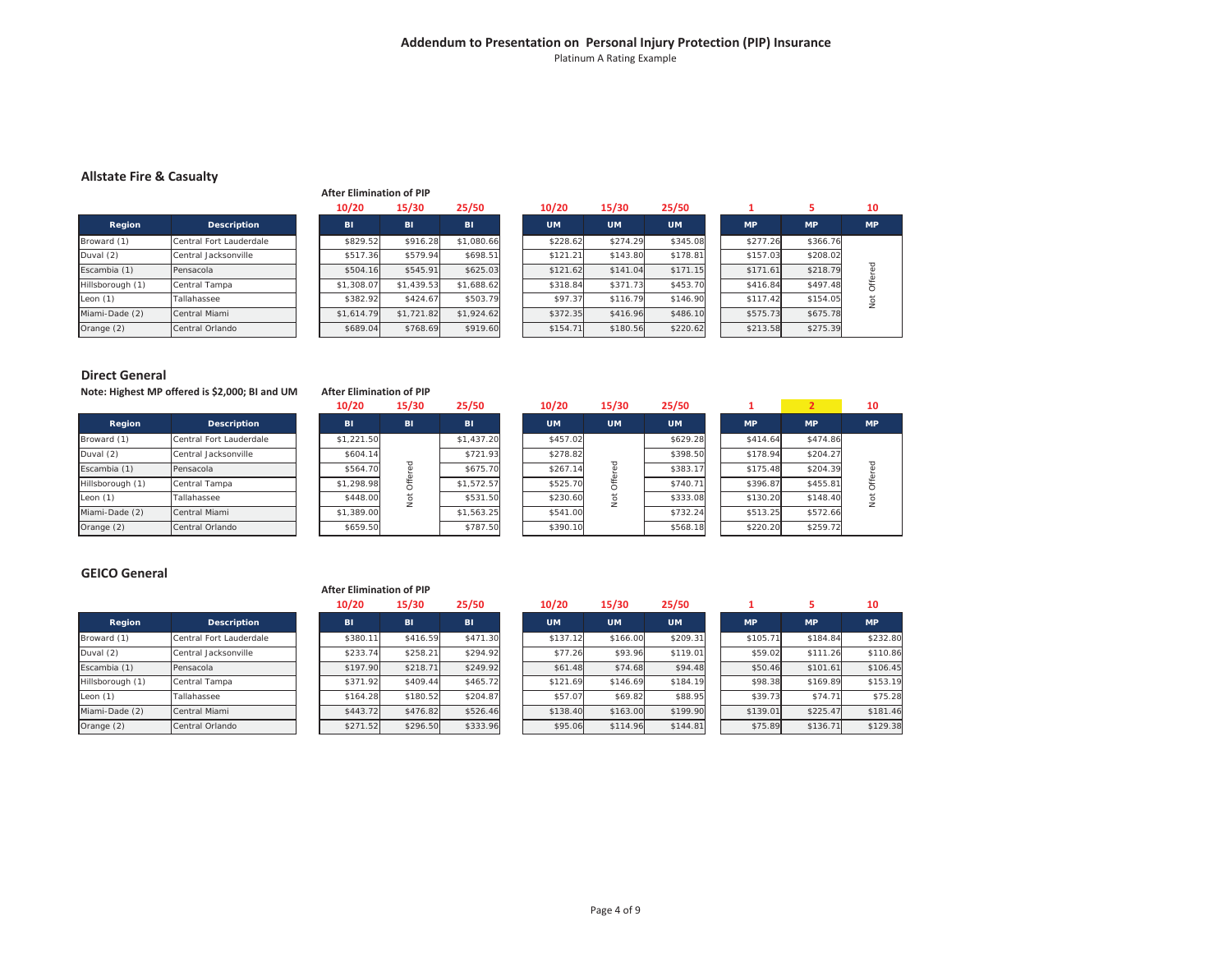#### **Addendum to Presentation on Personal Injury Protection (PIP) Insurance** Platinum A Rating Example

#### **Allstate Fire & Casualty**

|                  |                         | 10/20      |
|------------------|-------------------------|------------|
| Region           | <b>Description</b>      | BI         |
| Broward (1)      | Central Fort Lauderdale | \$829.52   |
| Duval (2)        | Central Jacksonville    | \$517.36   |
| Escambia (1)     | Pensacola               | \$504.16   |
| Hillsborough (1) | Central Tampa           | \$1,308.07 |
| Leon $(1)$       | Tallahassee             | \$382.92   |
| Miami-Dade (2)   | Central Miami           | \$1,614.79 |
| Orange (2)       | Central Orlando         | \$689.04   |

#### **After Elimination of PIP**

**After Elimination of PIP**

| 10        |           |           | 25/50     | 15/30     | 10/20     | 25/50      | 15/30      | 10/20      |
|-----------|-----------|-----------|-----------|-----------|-----------|------------|------------|------------|
| <b>MP</b> | <b>MP</b> | <b>MP</b> | <b>UM</b> | <b>UM</b> | <b>UM</b> | <b>BI</b>  | BI         | BI         |
|           | \$366.76  | \$277.26  | \$345.08  | \$274.29  | \$228.62  | \$1,080.66 | \$916.28   | \$829.52   |
|           | \$208.02  | \$157.03  | \$178.81  | \$143.80  | \$121.21  | \$698.51   | \$579.94   | \$517.36   |
| 요         | \$218.79  | \$171.61  | \$171.15  | \$141.04  | \$121.62  | \$625.03   | \$545.91   | \$504.16   |
|           | \$497.48  | \$416.84  | \$453.70  | \$371.73  | \$318.84  | \$1,688.62 | \$1,439.53 | \$1,308.07 |
| ğ         | \$154.05  | \$117.42  | \$146.90  | \$116.79  | \$97.37   | \$503.79   | \$424.67   | \$382.92   |
|           | \$675.78  | \$575.73  | \$486.10  | \$416.96  | \$372.35  | \$1,924.62 | \$1,721.82 | \$1.614.79 |
|           | \$275.39  | \$213.58  | \$220.62  | \$180.56  | \$154.71  | \$919.60   | \$768.69   | \$689.04   |

#### **Direct General**

**Note: Highest MP offered is \$2,000; BI and UM**

| Region           | <b>Description</b>      |
|------------------|-------------------------|
| Broward (1)      | Central Fort Lauderdale |
| Duval (2)        | Central Jacksonville    |
| Escambia (1)     | Pensacola               |
| Hillsborough (1) | Central Tampa           |
| Leon $(1)$       | Tallahassee             |
| Miami-Dade (2)   | Central Miami           |
| Orange (2)       | Central Orlando         |

# Not Offered

| \$504.16   | \$545.91              | \$625.03   | \$121.62  | \$141.04    | \$171.15  | \$171.61  | \$218.79       |             |
|------------|-----------------------|------------|-----------|-------------|-----------|-----------|----------------|-------------|
| \$1,308.07 | \$1,439.53            | \$1,688.62 | \$318.84  | \$371.73    | \$453.70  | \$416.84  | \$497.48       |             |
| \$382.92   | \$424.67              | \$503.79   | \$97.37   | \$116.79    | \$146.90  | \$117.42  | \$154.05       | Not Offered |
| \$1,614.79 | \$1,721.82            | \$1,924.62 | \$372.35  | \$416.96    | \$486.10  | \$575.73  | \$675.78       |             |
| \$689.04   | \$768.69              | \$919.60   | \$154.71  | \$180.56    | \$220.62  | \$213.58  | \$275.39       |             |
|            |                       |            |           |             |           |           |                |             |
|            |                       |            |           |             |           |           |                |             |
|            |                       |            |           |             |           |           |                |             |
|            |                       |            |           |             |           |           |                |             |
|            | er Elimination of PIP |            |           |             |           |           |                |             |
| 10/20      | 15/30                 | 25/50      | 10/20     | 15/30       | 25/50     | 1         | $\overline{2}$ | 10          |
| <b>BI</b>  | <b>BI</b>             | <b>BI</b>  | <b>UM</b> | <b>UM</b>   | <b>UM</b> | <b>MP</b> | <b>MP</b>      | <b>MP</b>   |
| \$1,221.50 |                       | \$1,437.20 | \$457.02  |             | \$629.28  | \$414.64  | \$474.86       |             |
| \$604.14   |                       | \$721.93   | \$278.82  |             | \$398.50  | \$178.94  | \$204.27       |             |
| \$564.70   |                       | \$675.70   | \$267.14  |             | \$383.17  | \$175.48  | \$204.39       |             |
| \$1,298.98 |                       | \$1,572.57 | \$525.70  |             | \$740.71  | \$396.87  | \$455.81       |             |
| \$448.00   |                       | \$531.50   | \$230.60  |             | \$333.08  | \$130.20  | \$148.40       |             |
| \$1,389.00 | Not Offered           | \$1,563.25 | \$541.00  | Not Offered | \$732.24  | \$513.25  | \$572.66       | Not Offered |
| \$659.50   |                       | \$787.50   | \$390.10  |             | \$568.18  | \$220.20  | \$259.72       |             |

#### **GEICO General**

|                  |                         | <b>After Elimination of PIP</b> |           |          |           |           |           |           |           |           |
|------------------|-------------------------|---------------------------------|-----------|----------|-----------|-----------|-----------|-----------|-----------|-----------|
|                  |                         | 10/20                           | 15/30     | 25/50    | 10/20     | 15/30     | 25/50     |           |           | 10        |
| Region           | <b>Description</b>      | BI                              | <b>BI</b> | BI       | <b>UM</b> | <b>UM</b> | <b>UM</b> | <b>MP</b> | <b>MP</b> | <b>MP</b> |
| Broward (1)      | Central Fort Lauderdale | \$380.11                        | \$416.59  | \$471.30 | \$137.12  | \$166.00  | \$209.31  | \$105.71  | \$184.84  | \$232.80  |
| Duval (2)        | Central Jacksonville    | \$233.74                        | \$258.21  | \$294.92 | \$77.26   | \$93.96   | \$119.01  | \$59.02   | \$111.26  | \$110.86  |
| Escambia (1)     | Pensacola               | \$197.90                        | \$218.71  | \$249.92 | \$61.48   | \$74.68   | \$94.48   | \$50.46   | \$101.61  | \$106.45  |
| Hillsborough (1) | Central Tampa           | \$371.92                        | \$409.44  | \$465.72 | \$121.69  | \$146.69  | \$184.19  | \$98.38   | \$169.89  | \$153.19  |
| Leon $(1)$       | Tallahassee             | \$164.28                        | \$180.52  | \$204.87 | \$57.07   | \$69.82   | \$88.95   | \$39.73   | \$74.71   | \$75.28   |
| Miami-Dade (2)   | Central Miami           | \$443.72                        | \$476.82  | \$526.46 | \$138.40  | \$163.00  | \$199.90  | \$139.01  | \$225.47  | \$181.46  |
| Orange (2)       | Central Orlando         | \$271.52                        | \$296.50  | \$333.96 | \$95.06   | \$114.96  | \$144.81  | \$75.89   | \$136.71  | \$129.38  |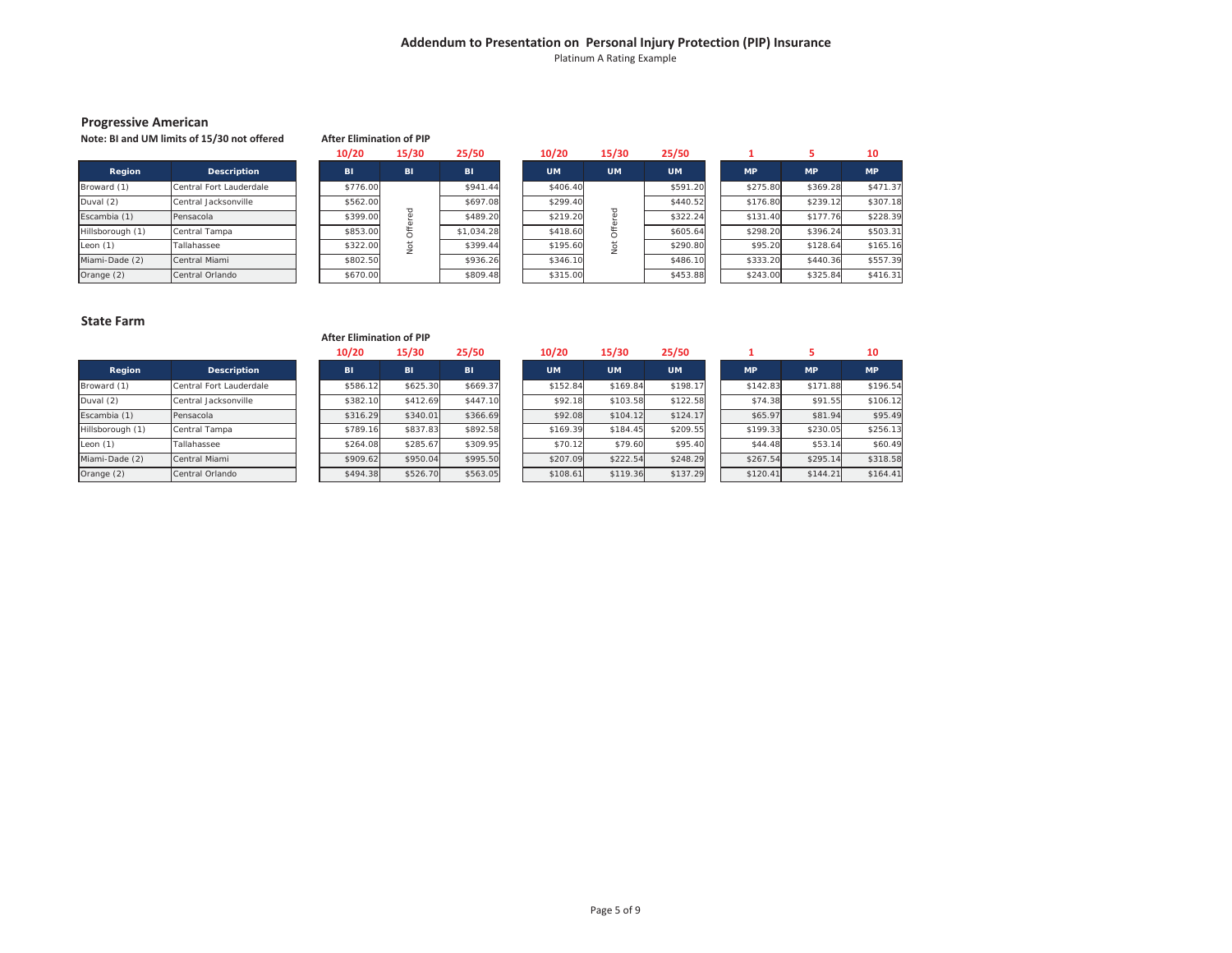Platinum A Rating Example

#### **Progressive American**

**Note: BI and UM limits of 15/30 not offered**

|                  | Note: BI and UM limits of 15/30 not offered | <b>After Elimination of PIP</b> |    |            |  |           |           |           |           |           |           |
|------------------|---------------------------------------------|---------------------------------|----|------------|--|-----------|-----------|-----------|-----------|-----------|-----------|
|                  |                                             | 10/20<br>25/50<br>15/30         |    |            |  | 10/20     | 15/30     | 25/50     |           |           | 10        |
| Region           | <b>Description</b>                          | <b>BI</b>                       | BI | <b>BI</b>  |  | <b>UM</b> | <b>UM</b> | <b>UM</b> | <b>MP</b> | <b>MP</b> | <b>MP</b> |
| Broward (1)      | Central Fort Lauderdale                     | \$776.00                        |    | \$941.44   |  | \$406.40  |           | \$591.20  | \$275.80  | \$369.28  | \$471.37  |
| Duval (2)        | Central Jacksonville                        | \$562.00                        |    | \$697.08   |  | \$299.40  |           | \$440.52  | \$176.80  | \$239.12  | \$307.18  |
| Escambia (1)     | Pensacola                                   | \$399.00                        |    | \$489.20   |  | \$219.20  |           | \$322.24  | \$131.40  | \$177.76  | \$228.39  |
| Hillsborough (1) | Central Tampa                               | \$853.00                        |    | \$1,034.28 |  | \$418.60  |           | \$605.64  | \$298.20  | \$396.24  | \$503.31  |
| Leon (1)         | Tallahassee                                 | \$322.00                        |    | \$399.44   |  | \$195.60  | 5         | \$290.80  | \$95.20   | \$128.64  | \$165.16  |
| Miami-Dade (2)   | Central Miami                               | \$802.50                        |    | \$936.26   |  | \$346.10  |           | \$486.10  | \$333.20  | \$440.36  | \$557.39  |
| Orange (2)       | Central Orlando                             | \$670.00                        |    | \$809.48   |  | \$315.00  |           | \$453.88  | \$243.00  | \$325.84  | \$416.31  |

#### **State Farm**

|                  |                         | <b>After Elimination of PIP</b> |           |           |           |           |           |           |           |           |
|------------------|-------------------------|---------------------------------|-----------|-----------|-----------|-----------|-----------|-----------|-----------|-----------|
|                  |                         | 10/20                           | 15/30     | 25/50     | 10/20     | 15/30     | 25/50     |           |           | 10        |
| Region           | <b>Description</b>      | <b>BI</b>                       | <b>BI</b> | <b>BI</b> | <b>UM</b> | <b>UM</b> | <b>UM</b> | <b>MP</b> | <b>MP</b> | <b>MP</b> |
| Broward (1)      | Central Fort Lauderdale | \$586.12                        | \$625.30  | \$669.37  | \$152.84  | \$169.84  | \$198.17  | \$142.83  | \$171.88  | \$196.54  |
| Duval (2)        | Central Jacksonville    | \$382.10                        | \$412.69  | \$447.10  | \$92.18   | \$103.58  | \$122.58  | \$74.38   | \$91.55   | \$106.12  |
| Escambia (1)     | Pensacola               | \$316.29                        | \$340.01  | \$366.69  | \$92.08   | \$104.12  | \$124.17  | \$65.97   | \$81.94   | \$95.49   |
| Hillsborough (1) | Central Tampa           | \$789.16                        | \$837.83  | \$892.58  | \$169.39  | \$184.45  | \$209.55  | \$199.33  | \$230.05  | \$256.13  |
| Leon (1)         | Tallahassee             | \$264.08                        | \$285.67  | \$309.95  | \$70.12   | \$79.60   | \$95.40   | \$44.48   | \$53.14   | \$60.49   |
| Miami-Dade (2)   | Central Miami           | \$909.62                        | \$950.04  | \$995.50  | \$207.09  | \$222.54  | \$248.29  | \$267.54  | \$295.14  | \$318.58  |
| Orange (2)       | Central Orlando         | \$494.38                        | \$526.70  | \$563.05  | \$108.61  | \$119.36  | \$137.29  | \$120.41  | \$144.21  | \$164.41  |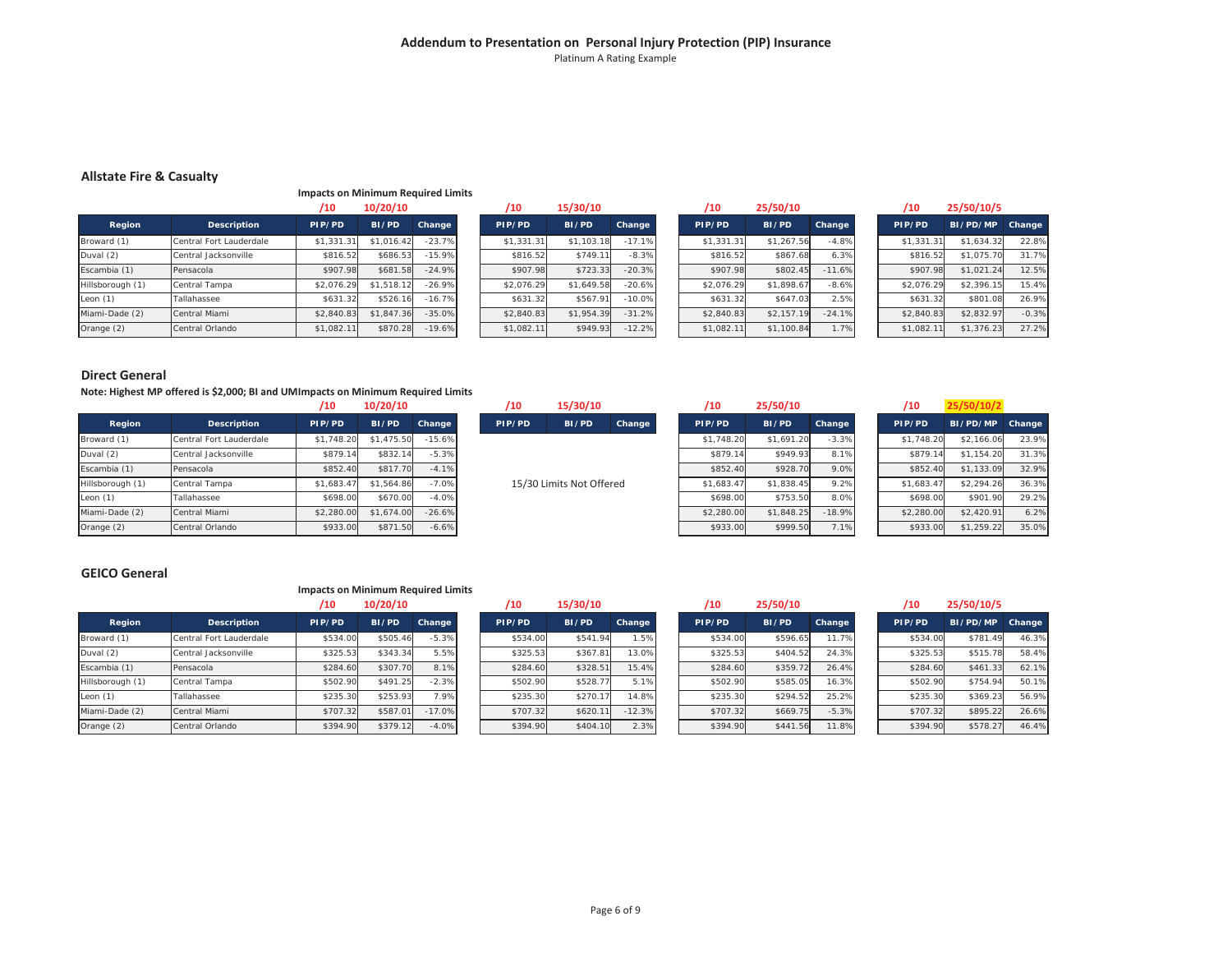#### **Addendum to Presentation on Personal Injury Protection (PIP) Insurance** Platinum A Rating Example

#### **Allstate Fire & Casualty**

**Impacts on Minimum Required Limits**

|                  |                         | /10        | 10/20/10   |          | /10        | 15/30/10   |          | /10        | 25/50/10   |          | /10        | 25/50/10/5 |         |
|------------------|-------------------------|------------|------------|----------|------------|------------|----------|------------|------------|----------|------------|------------|---------|
| Region           | Description             | PIP/PD     | BI/PD      | Change   | PIP/PD     | BI/PD      | Change   | PIP/PD     | BI/PD      | Change   | PIP/PD     | BI/PD/MP   | Change  |
| Broward (1)      | Central Fort Lauderdale | \$1,331.31 | \$1,016.42 | $-23.7%$ | \$1,331.31 | \$1,103.18 | $-17.1%$ | \$1,331.31 | \$1,267.56 | $-4.8%$  | \$1,331.31 | \$1,634.32 | 22.8%   |
| Duval (2)        | Central Jacksonville    | \$816.52   | \$686.53   | $-15.9%$ | \$816.52   | \$749.11   | $-8.3%$  | \$816.52   | \$867.68   | 6.3%     | \$816.52   | \$1,075.70 | 31.7%   |
| Escambia (1)     | Pensacola               | \$907.98   | \$681.58   | $-24.9%$ | \$907.98   | \$723.33   | $-20.3%$ | \$907.98   | \$802.45   | $-11.6%$ | \$907.98   | \$1,021.24 | 12.5%   |
| Hillsborough (1) | Central Tampa           | \$2.076.29 | \$1,518.12 | $-26.9%$ | \$2,076.29 | \$1,649.58 | $-20.6%$ | \$2.076.29 | \$1,898.67 | $-8.6%$  | \$2.076.29 | \$2,396.15 | 15.4%   |
| Leon $(1)$       | Tallahassee             | \$631.32   | \$526.16   | $-16.7%$ | \$631.32   | \$567.91   | $-10.0%$ | \$631.32   | \$647.03   | 2.5%     | \$631.32   | \$801.08   | 26.9%   |
| Miami-Dade (2)   | Central Miami           | \$2,840.83 | \$1,847.36 | $-35.0%$ | \$2,840.83 | \$1,954.39 | $-31.2%$ | \$2,840.83 | \$2,157.19 | $-24.1%$ | \$2,840.83 | \$2,832.97 | $-0.3%$ |
| Orange (2)       | Central Orlando         | \$1,082.11 | \$870.28   | $-19.6%$ | \$1,082.11 | \$949.93   | $-12.2%$ | \$1,082.11 | \$1,100.84 | 1.7%     | \$1,082.11 | \$1,376.23 | 27.2%   |

#### **Direct General**

**Note: Highest MP offered is \$2,000; BI and UM Impacts on Minimum Required Limits**

|                  |                         | /10        | 10/20/10   |          |
|------------------|-------------------------|------------|------------|----------|
| Region           | <b>Description</b>      | PIP/PD     | BI/PD      | Change   |
| Broward (1)      | Central Fort Lauderdale | \$1,748.20 | \$1,475.50 | $-15.6%$ |
| Duval (2)        | Central Jacksonville    | \$879.14   | \$832.14   | $-5.3%$  |
| Escambia (1)     | Pensacola               | \$852.40   | \$817.70   | $-4.1%$  |
| Hillsborough (1) | Central Tampa           | \$1,683.47 | \$1.564.86 | $-7.0%$  |
| Leon $(1)$       | Tallahassee             | \$698.00   | \$670.00   | $-4.0%$  |
| Miami-Dade (2)   | Central Miami           | \$2,280.00 | \$1,674.00 | $-26.6%$ |
| Orange (2)       | Central Orlando         | \$933.00   | \$871.50   | $-6.6%$  |

| 10/20/10 |                                                            |                                                                                        | /10                                                                         | 15/30/10 |        |                          | /10    | 25/50/10 |                                                                                        |                                                                                        | /10                                                         | 25/50/10/2 |                                                                                        |
|----------|------------------------------------------------------------|----------------------------------------------------------------------------------------|-----------------------------------------------------------------------------|----------|--------|--------------------------|--------|----------|----------------------------------------------------------------------------------------|----------------------------------------------------------------------------------------|-------------------------------------------------------------|------------|----------------------------------------------------------------------------------------|
| BI/PD    | Change                                                     |                                                                                        | PIP/PD                                                                      | BI/PD    | Change |                          | PIP/PD | BI/PD    | Change                                                                                 |                                                                                        | PIP/PD                                                      | BI/PD/MP   | <b>Change</b>                                                                          |
|          |                                                            |                                                                                        |                                                                             |          |        |                          |        |          |                                                                                        |                                                                                        |                                                             | \$2,166.06 | 23.9%                                                                                  |
|          |                                                            |                                                                                        |                                                                             |          |        |                          |        |          |                                                                                        |                                                                                        |                                                             | \$1,154.20 | 31.3%                                                                                  |
|          |                                                            |                                                                                        |                                                                             |          |        |                          |        |          |                                                                                        |                                                                                        |                                                             | \$1,133.09 | 32.9%                                                                                  |
|          |                                                            |                                                                                        |                                                                             |          |        |                          |        |          |                                                                                        |                                                                                        |                                                             | \$2.294.26 | 36.3%                                                                                  |
|          |                                                            |                                                                                        |                                                                             |          |        |                          |        |          |                                                                                        |                                                                                        |                                                             | \$901.90   | 29.2%                                                                                  |
|          |                                                            |                                                                                        |                                                                             |          |        |                          |        |          |                                                                                        |                                                                                        |                                                             | \$2,420.91 | 6.2%                                                                                   |
|          |                                                            |                                                                                        |                                                                             |          |        |                          |        |          |                                                                                        |                                                                                        |                                                             | \$1,259.22 | 35.0%                                                                                  |
|          | \$879.14<br>\$852.40<br>\$698.00<br>\$2,280.00<br>\$933.00 | \$1,475.50<br>\$832.14<br>\$817.70<br>\$1,564.86<br>\$670.00<br>\$1,674.00<br>\$871.50 | $-15.6%$<br>$-5.3%$<br>$-4.1%$<br>$-7.0%$<br>$-4.0%$<br>$-26.6%$<br>$-6.6%$ |          |        | 15/30 Limits Not Offered |        |          | \$1,748.20<br>\$879.14<br>\$852.40<br>\$1,683.47<br>\$698.00<br>\$2,280.00<br>\$933.00 | \$1,691.20<br>\$949.93<br>\$928.70<br>\$1,838.45<br>\$753.50<br>\$1,848.25<br>\$999.50 | $-3.3%$<br>8.1%<br>9.0%<br>9.2%<br>8.0%<br>$-18.9%$<br>7.1% |            | \$1,748.20<br>\$879.14<br>\$852.40<br>\$1,683.47<br>\$698.00<br>\$2,280.00<br>\$933.00 |

#### **GEICO General**

#### **Impacts on Minimum Required Limits**

|                  |                         | /10      | 10/20/10 |          |
|------------------|-------------------------|----------|----------|----------|
| Region           | <b>Description</b>      | PIP/PD   | BI/PD    | Change   |
| Broward (1)      | Central Fort Lauderdale | \$534.00 | \$505.46 | $-5.3%$  |
| Duval (2)        | Central Jacksonville    | \$325.53 | \$343.34 | 5.5%     |
| Escambia (1)     | Pensacola               | \$284.60 | \$307.70 | 8.1%     |
| Hillsborough (1) | Central Tampa           | \$502.90 | \$491.25 | $-2.3%$  |
| Leon $(1)$       | Tallahassee             | \$235.30 | \$253.93 | 7.9%     |
| Miami-Dade (2)   | Central Miami           | \$707.32 | \$587.01 | $-17.0%$ |
| Orange (2)       | Central Orlando         | \$394.90 | \$379.12 | $-4.0%$  |

| /10      | 15/30/10 |          |
|----------|----------|----------|
| PIP/PD   | BI/PD    | Change   |
| \$534.00 | \$541.94 | 1.5%     |
| \$325.53 | \$367.81 | 13.0%    |
| \$284.60 | \$328.51 | 15.4%    |
| \$502.90 | \$528.77 | 5.1%     |
| \$235.30 | \$270.17 | 14.8%    |
| \$707.32 | \$620.11 | $-12.3%$ |
| \$394.90 | \$404.10 | 2.3%     |

| /10      | 10/20/10 |          | /10      | 15/30/10 |          | /10      | 25/50/10 |         | /10      | 25/50/10/5 |        |
|----------|----------|----------|----------|----------|----------|----------|----------|---------|----------|------------|--------|
| PIP/PD   | BI/PD    | Change   | PIP/PD   | BI/PD    | Change   | PIP/PD   | BI/PD    | Change  | PIP/PD   | BI/PD/MP   | Change |
| \$534.00 | \$505.46 | $-5.3%$  | \$534.00 | \$541.94 | .5%      | \$534.00 | \$596.65 | 11.7%   | \$534.00 | \$781.49   | 46.3%  |
| \$325.53 | \$343.34 | 5.5%     | \$325.53 | \$367.81 | 13.0%    | \$325.53 | \$404.52 | 24.3%   | \$325.53 | \$515.78   | 58.4%  |
| \$284.60 | \$307.70 | 8.1%     | \$284.60 | \$328.51 | 15.4%    | \$284.60 | \$359.72 | 26.4%   | \$284.60 | \$461.33   | 62.1%  |
| \$502.90 | \$491.25 | $-2.3%$  | \$502.90 | \$528.77 | 5.1%     | \$502.90 | \$585.05 | 16.3%   | \$502.90 | \$754.94   | 50.1%  |
| \$235.30 | \$253.93 | 7.9%     | \$235.30 | \$270.17 | 14.8%    | \$235.30 | \$294.52 | 25.2%   | \$235.30 | \$369.23   | 56.9%  |
| \$707.32 | \$587.01 | $-17.0%$ | \$707.32 | \$620.11 | $-12.3%$ | \$707.32 | \$669.75 | $-5.3%$ | \$707.32 | \$895.22   | 26.6%  |
| \$394.90 | \$379.12 | $-4.0%$  | \$394.90 | \$404.10 | 2.3%     | \$394.90 | \$441.56 | 11.8%   | \$394.90 | \$578.27   | 46.4%  |

29.2%

 $6.2%$ 

62.1%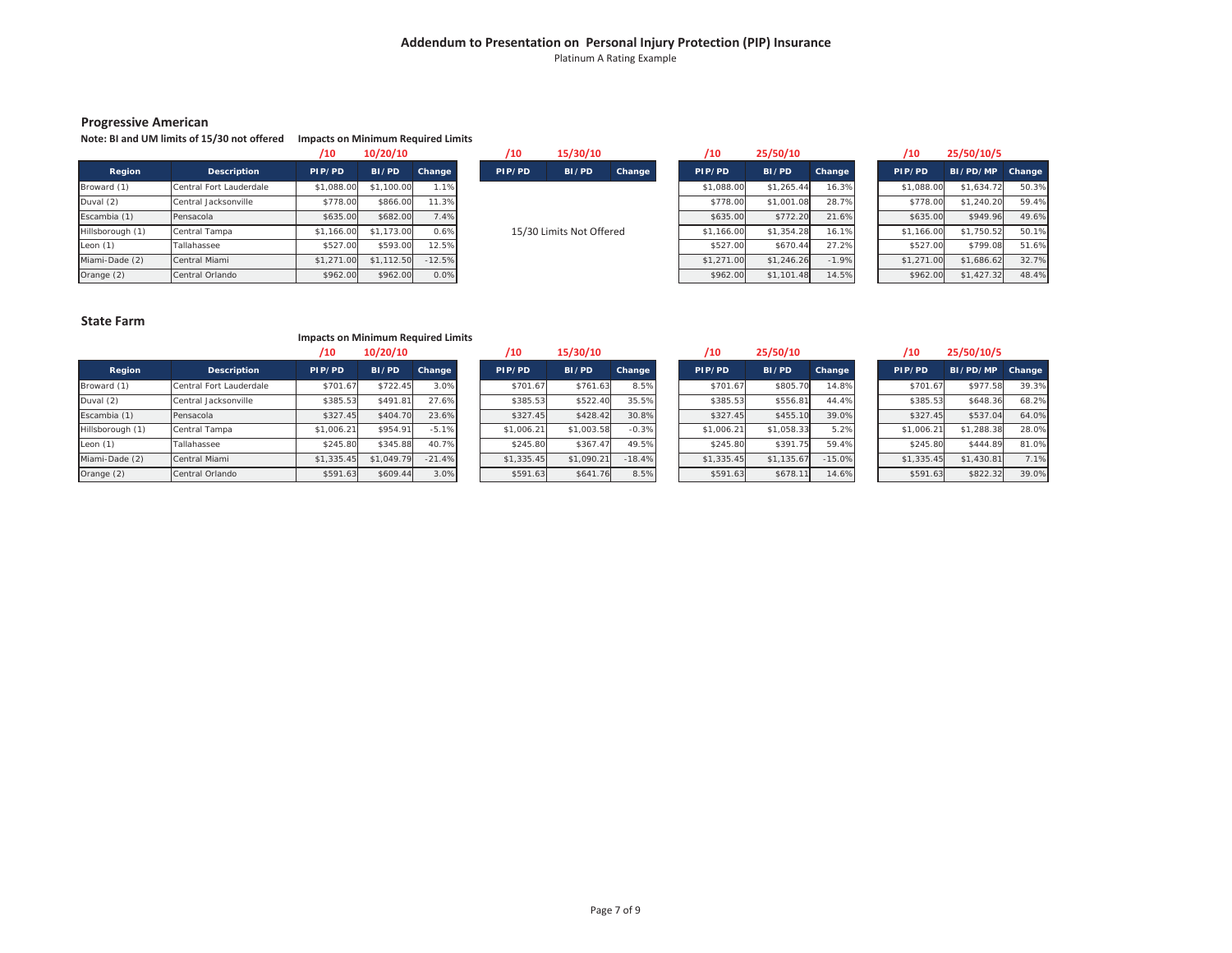Platinum A Rating Example

#### **Progressive American**

#### **Note: BI and UM limits of 15/30 not offered Impacts on Minimum Required Limits**

|                  |                         | /10        | 10/20/10   |          |
|------------------|-------------------------|------------|------------|----------|
| Region           | <b>Description</b>      | PIP/PD     | BI/PD      | Change   |
| Broward (1)      | Central Fort Lauderdale | \$1,088.00 | \$1,100.00 | 1.1%     |
| Duval (2)        | Central Jacksonville    | \$778.00   | \$866.00   | 11.3%    |
| Escambia (1)     | Pensacola               | \$635.00   | \$682.00   | 7.4%     |
| Hillsborough (1) | Central Tampa           | \$1,166.00 | \$1,173.00 | 0.6%     |
| Leon (1)         | Tallahassee             | \$527.00   | \$593.00   | 12.5%    |
| Miami-Dade (2)   | Central Miami           | \$1,271.00 | \$1,112.50 | $-12.5%$ |
| Orange (2)       | Central Orlando         | \$962.00   | \$962.00   | 0.0%     |

| /10    | 15/30/10                 |        |
|--------|--------------------------|--------|
| PIP/PD | BI/PD                    | Change |
|        |                          |        |
|        |                          |        |
|        | 15/30 Limits Not Offered |        |

| /10        | 10/20/10   |          | /10    | 15/30/10                 |        | /10        | 25/50/10   |         | /10        | 25/50/10/5 |        |
|------------|------------|----------|--------|--------------------------|--------|------------|------------|---------|------------|------------|--------|
| PIP/PD     | BI/PD      | Change   | PIP/PD | BI/PD                    | Change | PIP/PD     | BI/PD      | Change  | PIP/PD     | BI/PD/MP   | Change |
| \$1,088.00 | \$1,100.00 | 1.1%     |        |                          |        | \$1,088.00 | \$1.265.44 | 16.3%   | \$1,088.00 | \$1,634.72 | 50.3%  |
| \$778.00   | \$866.00   | 11.3%    |        |                          |        | \$778.00   | \$1,001.08 | 28.7%   | \$778.00   | \$1,240.20 | 59.4%  |
| \$635.00   | \$682.00   | 7.4%     |        |                          |        | \$635.00   | \$772.20   | 21.6%   | \$635.00   | \$949.96   | 49.6%  |
| \$1,166.00 | \$1,173.00 | 0.6%     |        | 15/30 Limits Not Offered |        | \$1,166.00 | \$1,354.28 | 16.1%   | \$1,166.00 | \$1,750.52 | 50.1%  |
| \$527.00   | \$593.00   | 12.5%    |        |                          |        | \$527.00   | \$670.44   | 27.2%   | \$527.00   | \$799.08   | 51.6%  |
| \$1,271.00 | \$1,112.50 | $-12.5%$ |        |                          |        | \$1,271.00 | \$1,246.26 | $-1.9%$ | \$1,271.00 | \$1,686.62 | 32.7%  |
| \$962.00   | \$962.00   | 0.0%     |        |                          |        | \$962.00   | \$1,101.48 | 14.5%   | \$962.00   | \$1,427.32 | 48.4%  |

| , 10       | 231 JUI 101 3   |        |
|------------|-----------------|--------|
| PIP/PD     | <b>BI/PD/MP</b> | Change |
| \$1,088.00 | \$1.634.72      | 50.3%  |
| \$778.00   | \$1,240.20      | 59.4%  |
| \$635.00   | \$949.96        | 49.6%  |
| \$1,166.00 | \$1,750.52      | 50.1%  |
| \$527.00   | \$799.08        | 51.6%  |
| \$1,271.00 | \$1,686.62      | 32.7%  |
| \$962.00   | \$1,427.32      | 48.4%  |

#### **State Farm**

#### **Impacts on Minimum Required Limits**

|                  |                         | /10        | 10/20/10     |          | '10        | 15/30/10   |          | ′10        | 25/50/10   |          | /10        | 25/50/10/5 |        |
|------------------|-------------------------|------------|--------------|----------|------------|------------|----------|------------|------------|----------|------------|------------|--------|
| Region           | Description             | PIP/PD     | <b>BI/PD</b> | Change   | PIP/PD     | BI/PD      | Change   | PIP/PD     | BI/PD      | Change   | PIP/PD     | BI/PD/MP   | Change |
| Broward (1)      | Central Fort Lauderdale | \$701.67   | \$722.45     | 3.0%     | \$701.67   | \$761.63   | 8.5%     | \$701.67   | \$805.70   | 14.8%    | \$701.67   | \$977.58   | 39.3%  |
| Duval (2)        | Central Jacksonville    | \$385.53   | \$491.81     | 27.6%    | \$385.53   | \$522.40   | 35.5%    | \$385.53   | \$556.81   | 44.4%    | \$385.53   | \$648.36   | 68.2%  |
| Escambia (1)     | Pensacola               | \$327.45   | \$404.70     | 23.6%    | \$327.45   | \$428.42   | 30.8%    | \$327.45   | \$455.10   | 39.0%    | \$327.45   | \$537.04   | 64.0%  |
| Hillsborough (1) | Central Tampa           | \$1,006.21 | \$954.91     | $-5.1%$  | \$1.006.2  | \$1,003.58 | $-0.3%$  | \$1,006.21 | \$1,058.33 | 5.2%     | \$1,006.21 | \$1,288.38 | 28.0%  |
| Leon $(1)$       | Tallahassee             | \$245.80   | \$345.88     | 40.7%    | \$245.80   | \$367.47   | 49.5%    | \$245.80   | \$391.75   | 59.4%    | \$245.80   | \$444.89   | 81.0%  |
| Miami-Dade (2)   | Central Miami           | \$1,335.45 | \$1,049.79   | $-21.4%$ | \$1,335.45 | \$1,090.21 | $-18.4%$ | \$1,335.45 | \$1,135.67 | $-15.0%$ | \$1,335.45 | \$1,430.81 | 7.1%   |
| Orange (2)       | Central Orlando         | \$591.63   | \$609.44     | 3.0%     | \$591.63   | \$641.76   | 8.5%     | \$591.63   | \$678.1'   | 14.6%    | \$591.63   | \$822.32   | 39.0%  |

| /10      | 10/20/10   |               | /10        | 15/30/10   |               | /10        | 25/50/10   |               | /10        | 25/50/10/5 |
|----------|------------|---------------|------------|------------|---------------|------------|------------|---------------|------------|------------|
| P/PD     | BI/PD      | <b>Change</b> | PIP/PD     | BI/PD      | <b>Change</b> | PIP/PD     | BI/PD      | <b>Change</b> | PIP/PD     | BI/PD/MP   |
| \$701.67 | \$722.45   | 3.0%          | \$701.67   | \$761.63   | 8.5%          | \$701.67   | \$805.70   | 14.8%         | \$701.67   | \$977.58   |
| \$385.53 | \$491.81   | 27.6%         | \$385.53   | \$522.40   | 35.5%         | \$385.53   | \$556.81   | 44.4%         | \$385.53   | \$648.36   |
| \$327.45 | \$404.70   | 23.6%         | \$327.45   | \$428.42   | 30.8%         | \$327.45   | \$455.10   | 39.0%         | \$327.45   | \$537.04   |
| 1.006.21 | \$954.91   | $-5.1%$       | \$1,006.21 | \$1,003.58 | $-0.3%$       | \$1,006.21 | \$1,058.33 | 5.2%          | \$1,006.21 | \$1,288.38 |
| \$245.80 | \$345.88   | 40.7%         | \$245.80   | \$367.47   | 49.5%         | \$245.80   | \$391.75   | 59.4%         | \$245.80   | \$444.89   |
| 1.335.45 | \$1,049.79 | $-21.4%$      | \$1,335.45 | \$1,090.21 | $-18.4%$      | \$1,335.45 | \$1,135.67 | $-15.0%$      | \$1,335.45 | \$1,430.81 |
| \$591.63 | \$609.44   | 3.0%          | \$591.63   | \$641.76   | 8.5%          | \$591.63   | \$678.11   | 14.6%         | \$591.63   | \$822.32   |

| /10        | 25/50/10   |          |
|------------|------------|----------|
| PIP/PD     | BI/PD      | Change   |
| \$701.67   | \$805.70   | 14.8%    |
| \$385.53   | \$556.81   | 44.4%    |
| \$327.45   | \$455.10   | 39.0%    |
| \$1,006.21 | \$1,058.33 | 5.2%     |
| \$245.80   | \$391.75   | 59.4%    |
| \$1,335.45 | \$1,135.67 | $-15.0%$ |
| \$591.63   | \$678.11   | 14.6%    |

| /10        | 25/50/10/5      |        |
|------------|-----------------|--------|
| PIP/PD     | <b>BI/PD/MP</b> | Change |
| \$701.67   | \$977.58        | 39.3%  |
| \$385.53   | \$648.36        | 68.2%  |
| \$327.45   | \$537.04        | 64.0%  |
| \$1,006.21 | \$1,288.38      | 28.0%  |
| \$245.80   | \$444.89        | 81.0%  |
| \$1,335.45 | \$1,430.81      | 7.1%   |
| \$591.63   | \$822.32        | 39.0%  |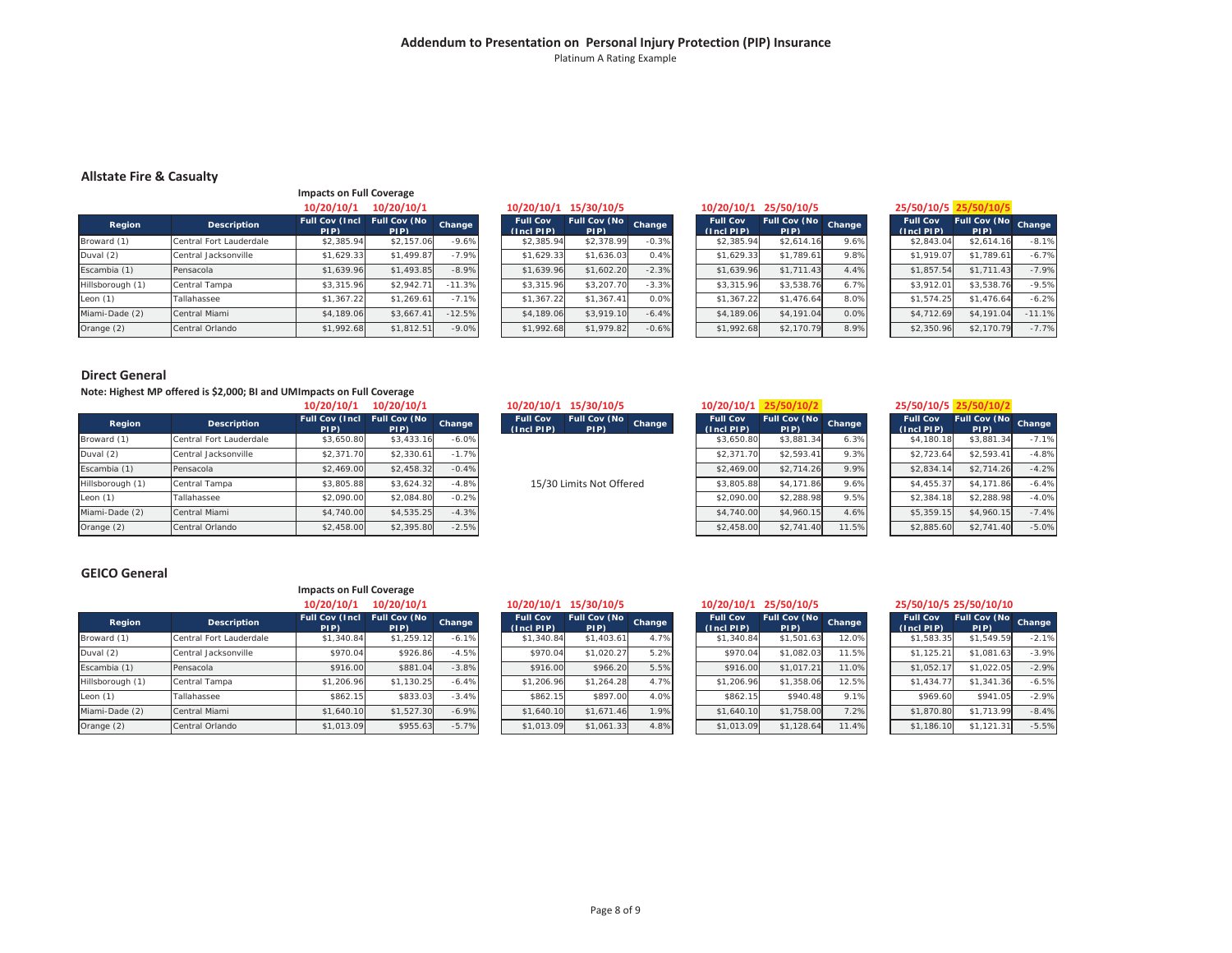#### **Addendum to Presentation on Personal Injury Protection (PIP) Insurance** Platinum A Rating Example

#### **Allstate Fire & Casualty**

|                  |                         | <b>Impacts on Full Coverage</b> |                             |          |
|------------------|-------------------------|---------------------------------|-----------------------------|----------|
|                  |                         | 10/20/10/1                      | 10/20/10/1                  |          |
| Region           | <b>Description</b>      | <b>Full Cov (Incl.</b><br>PIP)  | <b>Full Cov (No</b><br>PIP) | Change   |
| Broward (1)      | Central Fort Lauderdale | \$2,385.94                      | \$2,157.06                  | $-9.6%$  |
| Duval (2)        | Central Jacksonville    | \$1,629.33                      | \$1,499.87                  | $-7.9%$  |
| Escambia (1)     | Pensacola               | \$1,639.96                      | \$1,493.85                  | $-8.9%$  |
| Hillsborough (1) | Central Tampa           | \$3,315.96                      | \$2,942.71                  | $-11.3%$ |
| Leon $(1)$       | Tallahassee             | \$1.367.22                      | \$1.269.61                  | $-7.1%$  |
| Miami-Dade (2)   | Central Miami           | \$4,189.06                      | \$3.667.41                  | $-12.5%$ |
| Orange (2)       | Central Orlando         | \$1,992.68                      | \$1,812.51                  | $-9.0%$  |

| 10/20/10/1            | 10/20/10/1                   |               | 10/20/10/1                    | 15/30/10/5                  |         | 10/20/10/1                         | 25/50/10/5                  |        | 25/50/10/5 25/50/10/5              |                      |          |
|-----------------------|------------------------------|---------------|-------------------------------|-----------------------------|---------|------------------------------------|-----------------------------|--------|------------------------------------|----------------------|----------|
| ull Cov (Incl<br>PIP) | <b>Full Cov (No)</b><br>PIP) | <b>Change</b> | <b>Full Cov</b><br>(Incl PIP) | <b>Full Cov (No</b><br>PIP) | Change  | <b>Full Cov</b><br>$(Incl$ PIP $)$ | <b>Full Cov (No</b><br>PIP) | Change | <b>Full Cov</b><br>$(Incl$ PIP $)$ | Full Cov (No<br>PIP) | Change   |
| \$2,385.94            | \$2,157.06                   | $-9.6%$       | \$2,385.94                    | \$2,378.99                  | $-0.3%$ | \$2,385.94                         | \$2,614.16                  | 9.6%   | \$2,843.04                         | \$2,614.16           | $-8.1%$  |
| \$1,629.33            | \$1,499.87                   | $-7.9%$       | \$1,629.33                    | \$1,636.03                  | 0.4%    | \$1,629.33                         | \$1,789.61                  | 9.8%   | \$1,919.07                         | \$1,789.61           | $-6.7%$  |
| \$1,639.96            | \$1,493.85                   | $-8.9%$       | \$1,639.96                    | \$1,602.20                  | $-2.3%$ | \$1,639.96                         | \$1,711.43                  | 4.4%   | \$1,857.54                         | \$1,711.43           | $-7.9%$  |
| \$3,315.96            | \$2.942.71                   | $-11.3%$      | \$3.315.96                    | \$3,207.70                  | $-3.3%$ | \$3,315.96                         | \$3.538.76                  | 6.7%   | \$3,912.01                         | \$3.538.76           | $-9.5%$  |
| \$1,367.22            | \$1,269.61                   | $-7.1%$       | \$1,367.22                    | \$1.367.41                  | 0.0%    | \$1,367.22                         | \$1,476.64                  | 8.0%   | \$1.574.25                         | \$1,476.64           | $-6.2%$  |
| \$4,189.06            | \$3.667.41                   | $-12.5%$      | \$4,189.06                    | \$3,919.10                  | $-6.4%$ | \$4,189.06                         | \$4,191.04                  | 0.0%   | \$4,712.69                         | \$4,191.04           | $-11.1%$ |
| \$1,992.68            | \$1,812.51                   | $-9.0%$       | \$1,992.68                    | \$1,979.82                  | $-0.6%$ | \$1,992.68                         | \$2,170.79                  | 8.9%   | \$2,350.96                         | \$2,170.79           | $-7.7%$  |

| 10/20/10/1                    | 25/50/10/5                  |        |
|-------------------------------|-----------------------------|--------|
| <b>Full Cov</b><br>(Incl PIP) | <b>Full Cov (No</b><br>PIP) | Change |
| \$2,385.94                    | \$2.614.16                  | 9.6%   |
| \$1,629.33                    | \$1,789.61                  | 9.8%   |
| \$1.639.96                    | \$1,711.43                  | 4.4%   |
| \$3,315.96                    | \$3,538.76                  | 6.7%   |
| \$1,367.22                    | \$1,476.64                  | 8.0%   |
| \$4,189.06                    | \$4,191.04                  | 0.0%   |
| \$1,992.68                    | \$2,170.79                  | 8.9%   |

| 5/50/10/5 |         |  |
|-----------|---------|--|
| .         | - - - - |  |

| <b>Full Cov</b><br>(Incl PIP) | <b>Full Cov (No</b><br>PIP) | Change   |
|-------------------------------|-----------------------------|----------|
| \$2.843.04                    | \$2.614.16                  | $-8.1%$  |
| \$1,919.07                    | \$1,789.61                  | $-6.7%$  |
| \$1,857.54                    | \$1,711.43                  | $-7.9%$  |
| \$3,912.01                    | \$3,538.76                  | $-9.5%$  |
| \$1.574.25                    | \$1,476.64                  | $-6.2%$  |
| \$4,712.69                    | \$4,191.04                  | $-11.1%$ |
| \$2,350.96                    | \$2,170.79                  | $-7.7%$  |

#### **Direct General**

**Note: Highest MP offered is \$2,000; BI and UM Impacts on Full Coverage**

|                  |                         | 10/20/10/1                    | 10/20/10/1                  |         |
|------------------|-------------------------|-------------------------------|-----------------------------|---------|
| Region           | <b>Description</b>      | <b>Full Cov (Incl</b><br>PIP) | <b>Full Cov (No</b><br>PIP) | Change  |
| Broward (1)      | Central Fort Lauderdale | \$3,650.80                    | \$3,433.16                  | $-6.0%$ |
| Duval (2)        | Central Jacksonville    | \$2.371.70                    | \$2,330.61                  | $-1.7%$ |
| Escambia (1)     | Pensacola               | \$2,469.00                    | \$2,458.32                  | $-0.4%$ |
| Hillsborough (1) | Central Tampa           | \$3,805.88                    | \$3.624.32                  | $-4.8%$ |
| Leon $(1)$       | Tallahassee             | \$2,090.00                    | \$2,084.80                  | $-0.2%$ |
| Miami-Dade (2)   | Central Miami           | \$4,740.00                    | \$4,535.25                  | $-4.3%$ |
| Orange (2)       | Central Orlando         | \$2,458.00                    | \$2,395.80                  | $-2.5%$ |

#### **GEICO General**

|                  |                         | impacts on Full Coverage      |                             |         |
|------------------|-------------------------|-------------------------------|-----------------------------|---------|
|                  |                         | 10/20/10/1                    | 10/20/10/1                  |         |
| Region           | <b>Description</b>      | <b>Full Cov (Incl</b><br>PIP) | <b>Full Cov (No</b><br>PIP) | Change  |
| Broward (1)      | Central Fort Lauderdale | \$1,340.84                    | \$1.259.12                  | $-6.1%$ |
| Duval (2)        | Central Jacksonville    | \$970.04                      | \$926.86                    | $-4.5%$ |
| Escambia (1)     | Pensacola               | \$916.00                      | \$881.04                    | $-3.8%$ |
| Hillsborough (1) | Central Tampa           | \$1,206.96                    | \$1,130.25                  | $-6.4%$ |
| Leon $(1)$       | Tallahassee             | \$862.15                      | \$833.03                    | $-3.4%$ |
| Miami-Dade (2)   | Central Miami           | \$1,640.10                    | \$1,527.30                  | $-6.9%$ |
| Orange (2)       | Central Orlando         | \$1,013.09                    | \$955.63                    | $-5.7%$ |

|                               | 25/50/10/5 25/50/10/            |        |                              | 10/20/10/1                         | 15/30/10/5<br>10/20/10/1                                               |         | 10/20/10/1                   | <b>10/20/10/1</b>     |
|-------------------------------|---------------------------------|--------|------------------------------|------------------------------------|------------------------------------------------------------------------|---------|------------------------------|-----------------------|
| <b>Full Cov (No)</b><br>(PIP) | <b>Full Cov</b><br>$(Incl$ PIP) | Change | <b>Full Cov (No)</b><br>PIP) | <b>Full Cov</b><br>$(Incl$ PIP $)$ | <b>Full Cov (No</b><br><b>Full Cov</b><br>Change<br>(Inc[PIP])<br>PIP) | Change  | <b>Full Cov (No)</b><br>PIP) | ull Cov (Incl<br>PIP) |
| \$3,881.34                    | \$4,180.18                      | 6.3%   | \$3,881.34                   | \$3,650.80                         |                                                                        | $-6.0%$ | \$3,433.16                   | \$3.650.80            |
| \$2,593.41                    | \$2,723.64                      | 9.3%   | \$2,593.41                   | \$2,371.70                         |                                                                        | $-1.7%$ | \$2,330.61                   | \$2,371.70            |
| \$2,714.26                    | \$2,834.14                      | 9.9%   | \$2,714.26                   | \$2,469.00                         |                                                                        | $-0.4%$ | \$2,458.32                   | \$2,469.00            |
| \$4,171.86                    | \$4,455.37                      | 9.6%   | \$4,171.86                   | \$3,805.88                         | 15/30 Limits Not Offered                                               | $-4.8%$ | \$3.624.32                   | \$3,805.88            |
| \$2,288.98                    | \$2,384.18                      | 9.5%   | \$2,288.98                   | \$2,090.00                         |                                                                        | $-0.2%$ | \$2,084.80                   | \$2,090.00            |
| \$4,960.15                    | \$5,359.15                      | 4.6%   | \$4,960.15                   | \$4,740.00                         |                                                                        | $-4.3%$ | \$4,535,25                   | \$4,740.00            |

| 20/10/1           | 10/20/10/1                  |               | 10/20/10/1                        | 15/30/10/5                  |        | 10/20/10/1                    | 25/50/10/2                   |        | 25/50/10/5 25/50/10/2              |                             |         |
|-------------------|-----------------------------|---------------|-----------------------------------|-----------------------------|--------|-------------------------------|------------------------------|--------|------------------------------------|-----------------------------|---------|
| ov (Incl<br>PIP). | <b>Full Cov (No</b><br>PIP) | <b>Change</b> | <b>Full Cov</b><br>$(Incl$ $PIP)$ | <b>Full Cov (No</b><br>PIP) | Change | <b>Full Cov</b><br>(Incl PIP) | <b>Full Cov (No)</b><br>PIP) | Change | <b>Full Cov</b><br>$(Incl$ PIP $)$ | <b>Full Cov (No</b><br>PIP) | Change  |
| \$3.650.80        | \$3,433.16                  | $-6.0%$       |                                   |                             |        | \$3.650.80                    | \$3,881.34                   | 6.3%   | \$4,180.18                         | \$3.881.34                  | $-7.1%$ |
| \$2.371.70        | \$2,330.61                  | $-1.7%$       |                                   |                             |        | \$2,371.70                    | \$2,593.41                   | 9.3%   | \$2,723.64                         | \$2,593.41                  | $-4.8%$ |
| \$2.469.00        | \$2,458.32                  | $-0.4%$       |                                   |                             |        | \$2,469.00                    | \$2,714.26                   | 9.9%   | \$2,834.14                         | \$2,714.26                  | $-4.2%$ |
| \$3.805.88        | \$3.624.32                  | $-4.8%$       |                                   | 15/30 Limits Not Offered    |        | \$3,805.88                    | \$4,171.86                   | 9.6%   | \$4,455.37                         | \$4,171.86                  | $-6.4%$ |
| \$2.090.00        | \$2,084.80                  | $-0.2%$       |                                   |                             |        | \$2,090.00                    | \$2,288.98                   | 9.5%   | \$2,384.18                         | \$2.288.98                  | $-4.0%$ |
| \$4,740.00        | \$4,535.25                  | $-4.3%$       |                                   |                             |        | \$4,740.00                    | \$4,960.15                   | 4.6%   | \$5,359.15                         | \$4,960.15                  | $-7.4%$ |
| \$2,458.00        | \$2,395.80                  | $-2.5%$       |                                   |                             |        | \$2,458.00                    | \$2,741.40                   | 11.5%  | \$2,885.60                         | \$2,741.40                  | $-5.0%$ |
|                   |                             |               |                                   |                             |        |                               |                              |        |                                    |                             |         |

| 5/50/10/5 |  |  |
|-----------|--|--|
|-----------|--|--|

| <b>Full Cov</b><br>$(Ind$ PIP $)$ | <b>Full Cov (No</b><br>PIP) | Change  |
|-----------------------------------|-----------------------------|---------|
| \$4,180.18                        | \$3,881.34                  | $-7.1%$ |
| \$2,723.64                        | \$2.593.41                  | $-4.8%$ |
| \$2.834.14                        | \$2,714.26                  | $-4.2%$ |
| \$4,455.37                        | \$4,171.86                  | $-6.4%$ |
| \$2,384.18                        | \$2,288.98                  | $-4.0%$ |
| \$5,359.15                        | \$4,960.15                  | $-7.4%$ |
| \$2,885.60                        | \$2,741.40                  | $-5.0%$ |

#### **Impacts on Full Coverage**

| 10/20/10/1            | 10/20/10/1           |         | 10/20/10/1                    | 15/30/10/5                   |        | 10/20/10/1                         | 25/50/10/5                  |        |                                    | 25/50/10/5 25/50/10/10       |         |
|-----------------------|----------------------|---------|-------------------------------|------------------------------|--------|------------------------------------|-----------------------------|--------|------------------------------------|------------------------------|---------|
| ull Cov (Incl<br>PIP) | Full Cov (No<br>PIP) | Change  | <b>Full Cov</b><br>(Incl PIP) | <b>Full Cov (No)</b><br>PIP) | Change | <b>Full Cov</b><br>$(Incl$ PIP $)$ | <b>Full Cov (No</b><br>PIP) | Change | <b>Full Cov</b><br>$(Incl$ PIP $)$ | <b>Full Cov (No)</b><br>PIP) | Change  |
| \$1,340.84            | \$1,259.12           | $-6.1%$ | \$1,340.84                    | \$1,403.61                   | 4.7%   | \$1,340.84                         | \$1,501.63                  | 12.0%  | \$1,583.35                         | \$1,549.59                   | $-2.1%$ |
| \$970.04              | \$926.86             | $-4.5%$ | \$970.04                      | \$1,020.27                   | 5.2%   | \$970.04                           | \$1,082.03                  | 11.5%  | \$1,125.21                         | \$1.081.63                   | $-3.9%$ |
| \$916.00              | \$881.04             | $-3.8%$ | \$916.00                      | \$966.20                     | 5.5%   | \$916.00                           | \$1,017.21                  | 11.0%  | \$1,052.17                         | \$1,022.05                   | $-2.9%$ |
| \$1,206.96            | \$1,130.25           | $-6.4%$ | \$1,206.96                    | \$1.264.28                   | 4.7%   | \$1,206.96                         | \$1,358.06                  | 12.5%  | \$1,434.77                         | \$1,341.36                   | $-6.5%$ |
| \$862.15              | \$833.03             | $-3.4%$ | \$862.15                      | \$897.00                     | 4.0%   | \$862.15                           | \$940.48                    | 9.1%   | \$969.60                           | \$941.05                     | $-2.9%$ |
| \$1,640.10            | \$1,527.30           | $-6.9%$ | \$1,640.10                    | \$1,671.46                   | 1.9%   | \$1,640.10                         | \$1,758.00                  | 7.2%   | \$1,870.80                         | \$1,713.99                   | $-8.4%$ |
| \$1,013.09            | \$955.63             | $-5.7%$ | \$1,013.09                    | \$1,061.33                   | 4.8%   | \$1,013.09                         | \$1,128.64                  | 11.4%  | \$1,186.10                         | \$1.121.31                   | $-5.5%$ |

| 10/20/10/1                    | 25/50/10/5                  |        |
|-------------------------------|-----------------------------|--------|
| <b>Full Cov</b><br>(Incl PIP) | <b>Full Cov (No</b><br>PIP) | Change |
| \$1,340.84                    | \$1,501.63                  | 12.0%  |
| \$970.04                      | \$1.082.03                  | 11.5%  |
| \$916.00                      | \$1,017.21                  | 11.0%  |
| \$1,206.96                    | \$1,358.06                  | 12.5%  |
| \$862.15                      | \$940.48                    | 9.1%   |
| \$1,640.10                    | \$1,758.00                  | 7.2%   |
| \$1,013.09                    | \$1,128.64                  | 11.4%  |

|  |  | 5/50/10/5 25/50/10/10 |  |  |
|--|--|-----------------------|--|--|

| <b>Full Cov</b><br>(Incl PIP) | <b>Full Cov (No</b><br>PIP) | Change  |
|-------------------------------|-----------------------------|---------|
| \$1.583.35                    | \$1.549.59                  | $-2.1%$ |
| \$1,125.21                    | \$1,081.63                  | $-3.9%$ |
| \$1.052.17                    | \$1,022.05                  | $-2.9%$ |
| \$1,434.77                    | \$1,341.36                  | $-6.5%$ |
| \$969.60                      | \$941.05                    | $-2.9%$ |
| \$1,870.80                    | \$1,713.99                  | $-8.4%$ |
| \$1,186.10                    | \$1,121,31                  | $-5.5%$ |